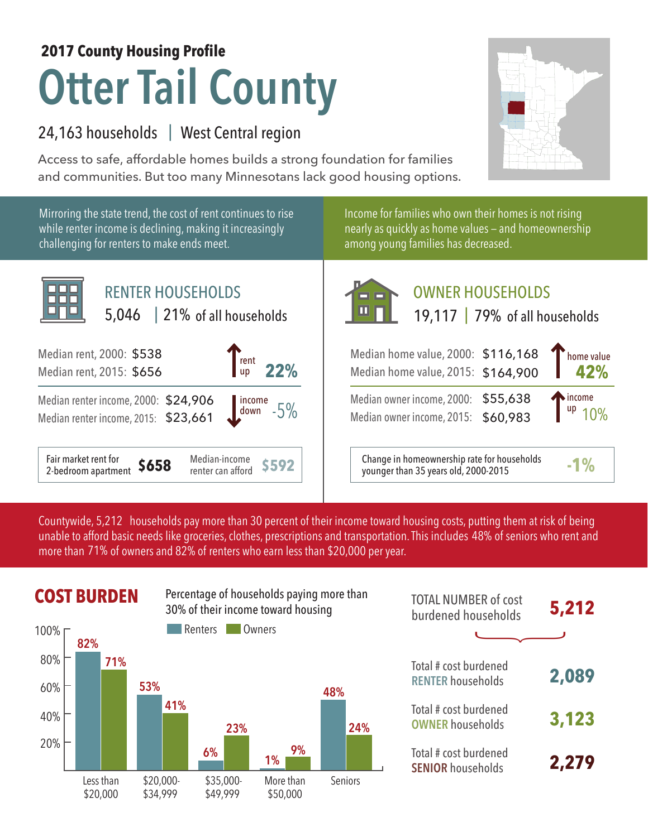# **Otter Tail County 2017 County Housing Profile**

# 24,163 households West Central region |

Access to safe, affordable homes builds a strong foundation for families and communities. But too many Minnesotans lack good housing options.



Mirroring the state trend, the cost of rent continues to rise while renter income is declining, making it increasingly challenging for renters to make ends meet.

Income for families who own their homes is not rising nearly as quickly as home values — and homeownership among young families has decreased.



# OWNER HOUSEHOLDS

| rent<br>  up<br>22%                                            | Median home value, 2000: \$116,168<br>Median home value, 2015: \$164,900            | home value                      |
|----------------------------------------------------------------|-------------------------------------------------------------------------------------|---------------------------------|
| $\frac{906}{661}$ $\frac{1}{30}$ $\frac{1}{30}$ $\frac{1}{30}$ | Median owner income, 2000: \$55,638<br>Median owner income, 2015: \$60,983          | $T_{\text{up}}^{\text{income}}$ |
| Median-income<br><b>S592</b><br>renter can afford              | Change in homeownership rate for households<br>younger than 35 years old, 2000-2015 | $-1\%$                          |

Countywide, 5,212 households pay more than 30 percent of their income toward housing costs, putting them at risk of being unable to afford basic needs like groceries, clothes, prescriptions and transportation. This includes 48% of seniors who rent and more than 71% of owners and 82% of renters who earn less than \$20,000 per year.



|            | <b>COST BURDEN</b> |          | Percentage of households paying more than<br>30% of their income toward housing |             |                | <b>TOTAL NUMBER of cost</b><br>burdened households | 5,212 |
|------------|--------------------|----------|---------------------------------------------------------------------------------|-------------|----------------|----------------------------------------------------|-------|
| 100% г     | 82%                |          | Renters                                                                         | Owners      |                |                                                    |       |
| 80%        | 71%                | 53%      |                                                                                 |             |                | Total # cost burdened<br><b>RENTER households</b>  | 2,089 |
| 60%<br>40% |                    |          | 41%<br>23%                                                                      |             | 48%<br>24%     | Total # cost burdened<br><b>OWNER households</b>   | 3,123 |
| 20%        |                    |          | 6%                                                                              | 9%<br>$1\%$ |                | Total # cost burdened<br><b>SENIOR households</b>  | 2,279 |
|            | Less than          | \$20.000 | $$35.000-$                                                                      | More than   | <b>Seniors</b> |                                                    |       |